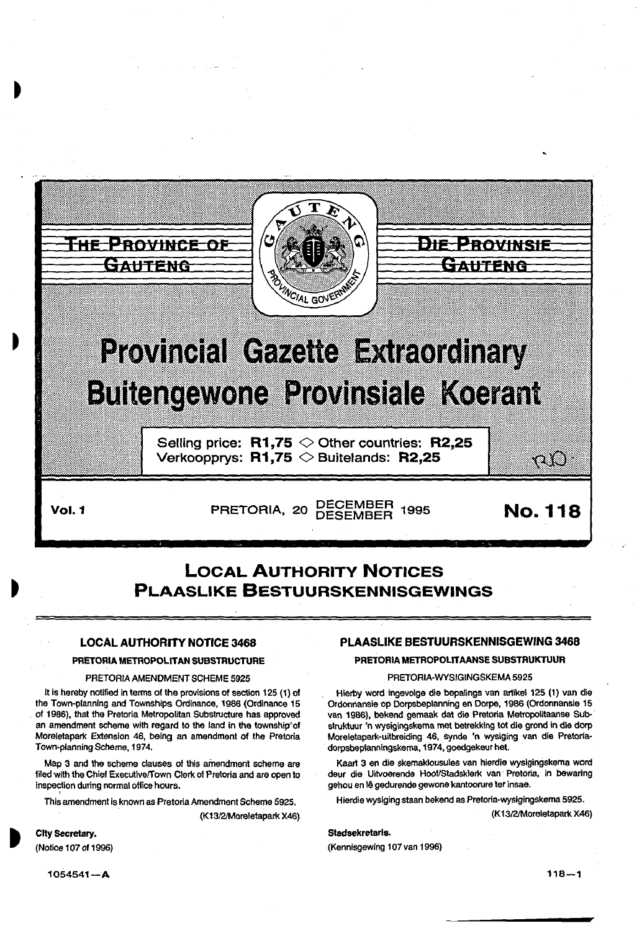

# **Provincial Gazette Extraordinary Buttengewone Provinsiale Koerant**

Selling price:  $R1,75 \diamond 0$ ther countries: R2,25 Verkoopprys:  $R1,75 \diamondsuit$  Buitelands: R2,25

Vol. 1 **PRETORIA, 20 DECEMBER 1995** No. 118

o O

# LOCAL AUTHORITY NOTICES PLAASLIKE BESTUURSKENNISGEWINGS

# LOCAL AUTHORITY NOTICE 3468

# PRETORIA METROPOLITAN SUBSTRUCTURE

# PRETORIA AMENDMENT SCHEME 5925

It is hereby notified in terms of the provisions of section 125 (1) of the Town-planning and Townships Ordinance, 1986 (Ordinance 15 of 1986), that the Pretoria Metropolitan Substructure has approved an amendment scheme with regard *to* the land in the township"of Moreletapark Extension 46, being an amendment of the Pretoria Town-planning Scheme, 1974.

Map 3 and the scheme clauses of this amendment scheme are filed with the Chief Executiveffown Clerk of Pretoria and are open to inspection during normal office hours.

This amendment is known as Pretoria Amendment Scheme 5925.

(K1312/Moreletapark X46)

# PLAASLIKE BESTUURSKENNISGEWING 3468

# PRETORIA METROPOLIT AANSE SUBSTRUKTUUR

# PRETORIA·WYSIGINGSKEMA 5925

Hlerby word ingevolge die bepalings van artikel 125 (1) van die Ordonnansie op Dorpsbeplanning en Dorpe, 1986 (Ordonnansie 15 van 1986), bekend gemaak dat die Pretoria Metropolitaanse Sub-· struktuur 'n wysigingskema met betrekking tot die grand in die dorp Moreletapark-uitbreiding 46, synde 'n wysiging van die Pretoriadorpsbeplanningskema, 1974, goedgekeur het.

Kaart 3 en die skemaklousules van hierdie wysigingskema word deur die Uitvoerende Hoof/Stadsklerk van Pretoria, in bewaring gehou en lê gedurende gewone kantoorure ter insae.

Hierdie wysiging staan bekend as Pretoria-wysigingskema 5925.

(K1312/Moreletapark X46)

# Stadsekretarls.

(Kennisgewing 107 van 1996)

1054541-A

City Secretary. (Notice 1 07 of 1996)

 $118 - 1$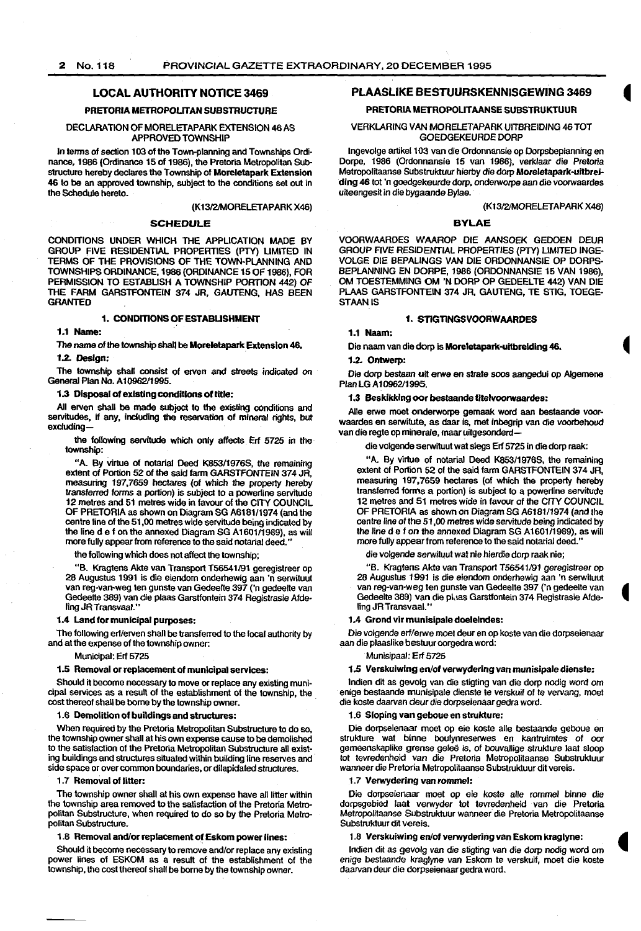# 2 No.118 PROVINCIAL GAZETTE EXTRAORDINARY, 20 DECEMBER 1995

# LOCAL AUTHORITY NOTICE 3469

# PRETORIA METROPOLITAN SUBSTRUCTURE

# DECLARATION OF MORELETAPARK EXTENSION 46 AS APPROVED TOWNSHIP

In terms of section 103 of the Town-planning and Townships Ordinance, 1986 (Ordinance 15 of 1986), the Pretoria Metropolitan Substructure hereby declares the Township of Moreletapark Extension 46 to be an approved township, subject to the conditions set out in the Schedule hereto.

#### {K13/2/MORELETAPARK X46)

# SCHEDULE

CONDITIONS UNDER WHICH THE APPLICATION MADE BY GROUP FIVE RESIDENTIAL PROPERTIES (PTY) LIMITED IN TERMS OF THE PROVISIONS OF THE TOWN-PLANNING AND TOWNSHIPS ORDINANCE, 1986 (ORDINANCE 15 OF 1966), FOR PERMISSION TO ESTABLISH A TOWNSHIP PORTION 442) OF THE FARM GARSTFONTEIN 374 JR, GAUTENG, HAS BEEN **GRANTED** 

# 1. CONDITIONS OF ESTABLISHMENT

1.1 Name:

The name of the township shall be Moreletapark Extension 46.

# 1.2. Design:

The township shall consist of erven and streets indicated on General Plan No. A 10962/1995.

# 1.3 Disposal of existing conditions of title:

All erven shall be made subject to the existing conditions and servitudes. if any. including the reservation of mineral rights, but exCluding-

the following servitude which only affects . Erf 5725 in the township:

"A. By virtue of notarial Deed K853/1976S, the remaining extent of Portion 52 of the said farm GARSTFONTEIN 374 JR, measuring 197,7659 hectares (of which the property hereby transferred fonns a portion) is subject to a powerline servitude 12 metres and 51 metres wide in favour of the CITY COUNCIL OF PRETORIA as shown on Diagram SG A6181/1974 {and the centre line of the 51,00 metres wide servitude being indicated by the line d e f on the annexed Diagram SG A1601/1989), as will more fully appear from reference to the said notarial deed."

the following which does not affect the township;

"B. Kragtens Akte van Transport T56541/91 geregistreer op 28 Augustus 1991 is die eiendom onderhewig aan 'n serwituut van reg-van-weg ten gunste van Gedeelte 397 ('n gedeelte van Gedeelte 369) van die plaas Garstfontein 374 Registrasie Aideling JR Transvaal."

# 1.4 Land for municipal purposes:

The following erf/erven shall be transferred to the local authority by and at the expense of the township owner:

Municipal: Erf 5725

# 1.5 Removal or replacement of municipal services:

Should it become necessary to move or replace any existing municipal services as a result of the establishment of the township, the cost thereof shall be borne by the township owner.

1.6 Demolition of buildings and structures:

When required by the Pretoria Metropolitan Substructure to do so, the township owner shall at his own expense cause to be demolished to the satisfaction of the Pretoria Metropolitan Substructure all existing buildings and structures situated within building line reserves and side space or over common boundaries, or dilapidated structures.

# 1.7 Removal of litter:

The township owner shall at his own expense have all litter within the township area removed to the satisfaction of the Pretoria Metropolitan Substructure, when required to do so by the Pretoria Metropolitan Substructure.

# 1.8 Removal and/or replacement of Eskom power lines:

Should it become necessary to remove and/or replace any existing power lines of ESKOM as a result of the establishment of the township, the cost thereof shall be borne by the township owner.

# PLAASLIKE BESTUURSKENNISGEWING 3469

# PRETORIA METROPOUTAANSE SUBSTRUKTUUR

# VERKLARING VAN MORELETAPARK UITBREIDING 46 TOT GOEDGEKEURDE DORP

Ingevolge artikel 103 van die Ordonnansie op Dorpsbeplanning en Dorpe, 1986 (Ordonnansie 15 van 1986), verklaar die Pretoria Metropolitaanse Substruktuur hierby die dorp Moreletapark·uitbrei· ding 46 tot 'n goedgekeurde dorp, onderworpe aan die voorwaardes uiteengesit in die bygaande Bylae.

#### (K1312/MORELETAPARK X46)

#### BYLAE

VOORWAARDES WAAROP DIE AANSOEK GEOOEN DEUR GROUP FIVE RESIDENTIAL PROPERTIES (PTY)LIMITED INGE· VOLGE DIE BEPALINGS VAN DIE ORDONNANSIE OP DORPS· BEPLANNING EN DORPE, 1986 (OROONNANSIE 15 VAN 1986), OM TOESTEMMING OM 'N OORP OP GEDEELTE 442) VAN DIE PLAAS GARSTFONTEIN 374 JR, GAUTENG, TE STIG, TOEGE· STAANIS

# 1. STIGTINGSVOORWAARDES

# 1.1 Naam:

Die naarn van die dorp is Moreletapark-uitbrelding 46.

# 1.2. Ontwerp:

Die dorp bestaan uit erwe en strata soos aangedui op Algernene PlanLGA10962/1995.

#### 1.3 Beskikklng oar bestaande titelvoorwaardes:

Aile erwe moet onderworpe gemaak word aan bestaande voorwaardes en serwitute, as daar is. met inbegrip van die voorbehoud van die regte op minerale, maar uitgesonderd-

die volgende serwituut wat slegs Erf 5725 in die dorp raak:

"A. By virtue of notarial Deed K853/1976S, the remaining extent of Portion 52 of the said farm GARSTFONTEIN 374 JR, measuring 197,7659 hectares (of which the property hereby transferred forms a portion) is subject to a powerfine servitude 12 metres and 51 metres wide in favour of the CITY COUNCIL OF PRETORIA as shown on Diagram SG A618111974 (and the centre line of the 51,00 metres wide servitude being indicated by the line d e f on the annexed Diagram SG A1601/1989), as will more fully appear from reference to the said notarial deed."

die volgende serwituut wat nie hierdie dorp raak nie;

"B. Kragtens Akte van Transport T56541/91 geregistreer op 28 Augustus 1991 is die eiendom onderhewig aan 'n serwituut van reg-van-weg ten gunste van Gedeelte 397 ('n gedeelte van Gedeelte 389) van die pl,tas Garstfontein 374 Registrasie Afdeling JR Transvaal."

#### 1.4 Grond vir munisipale doelelndes:

Die volgende erf/erwe moe! deur en op koste van die dorpseienaar aan die plaaslike bestuur oorgedra word:

# Munisipaal: Erf 5725

1.5 Verskuiwing en/of verwydering van munisipale dienste: lndien dit as gevolg van die stigting van die dorp nodig word om enige bestaande munisipale dienste te verskuif of te vervang, moet

# die koste daarvan deur die dorpseienaar gedra word. 1.6 Sloping van geboue en strukture:

Die dorpseienaar moet op eie koste alle bestaande geboue en struklure wat binne boulynreserwes en kantruimtes of oor gemeenskaplike grense gelee is, of bouvallige struklure laat sloop tot tevredenheid van die Pretoria Metropolitaanse Substruktuur wanneer die Pretoria Metropolitaanse Substruktuur dit vereis.

#### 1.7 Verwydering van rommel:

Die dorpseienaar moet op eie koste aile rommel binne die dorpsgebied laat verwyder tot tevredenheid van die Pretoria Metropolitaanse Subslrukluur wanneer die Pretoria Metropolitaanse Substruktuur dit vereis.

# 1.8 Verskuiwing en/of verwydering van Eskom kraglyne:

lndien dit as gevolg *van* die stigting van die dorp nodig word om enige bestaande kraglyne van Eskom te verskuif, moet die koste daarvan deur die dorpseienaar gedra word.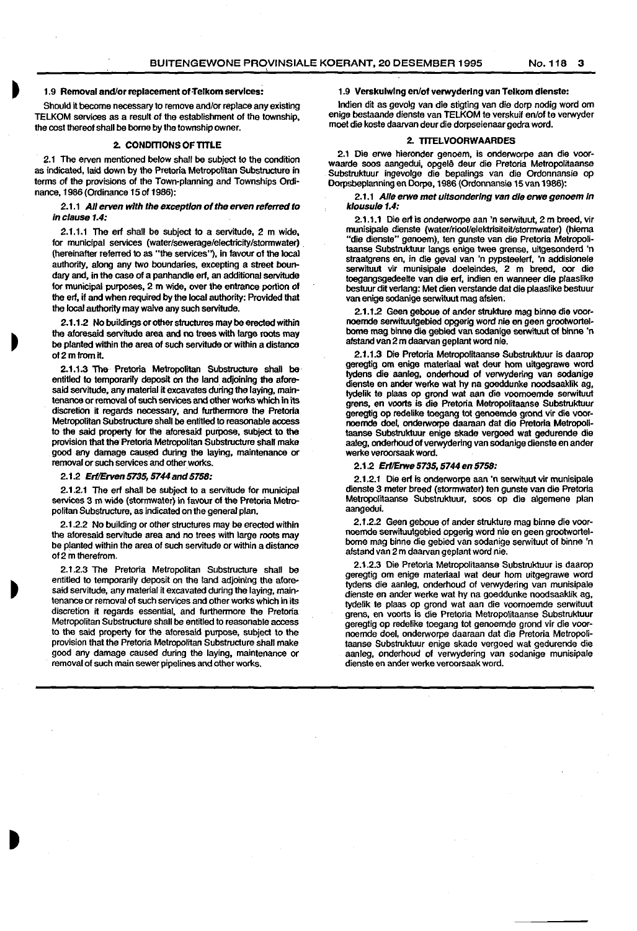'

# 1.9 Removal and/or replacement of Telkom services:

Should it become necessary to remove and/or replace any existing TELKOM services as a result of the establishment of the township, the cost thereof shall be borne by the township owner.

# 2. CONDITIONS OF TITLE

2.1 The erven mentioned below shall be subject to the condition as indicated, laid down by the Pretoria Metropolitan Substructure in terms of the provisions of the Town-planning and Townships Ordi· nance, 1986 (Ordinance 15 of 1986):

2.1.1 All erven with the exception of the erven referred to in clause 1.4:

2.1.1.1 The erf shall be subject to a servitude, 2 m wide, for municipal services (water/sewerage/electricity/stormwater) . (hereinafter referred to as "the services''), in favour of the local authority, along any two boundaries, excepting a street boundary and, in the case of a panhandle erf, an additional servitude for municipal purposes, 2 m wide, over the entrance portion of the erf, if and when required by the local authority: Provided that the local authority may waive any such servitude.

2.1.1.2 No buildings or other structures may be erected within the aforesaid servitude area and no trees with large roots may be planted within the area of such servitude or within a distance of 2 m from it.

2.1.1.3 The Pretoria Metropolitan Substructure shall be entitled to temporarily deposit on the land adjoining the aforesaid servitude, any material it excavates during the laying, maintenance or removal of such services and other works which in its discretion it regards necessary, and furthermore the Pretoria Metropolitan Substructure shall be entitled to reasonable access to the said property for the aforesaid purpose, subject to the provision that the Pretoria Metropolitan Substructure shall make qood any damage caused during the laying, maintenance or removal or such services and other works.

#### 2.1.2 Erl/Erven 5735, 5744 and 5758:

2.1.2.1 The erf shall be subject to a servitude for municipal services 3 m wide (stormwater) in favour of the Pretoria Metropolitan Substructure, as indicated on the general plan.

2.1.2.2 No building or other structures may be erected within the aforesaid servitude area and no trees with large roots may be planted within the area of such servitude or within a disiance of2 m therefrom.

2.1 .2.3 The Pretoria Metropolitan Substructure shall be entitled to temporarily deposit on the land adjoining the aforesaid servitude, any material it excavated during the laying, main· tenance or removal of such services and other works which in its discretion it regards essential, and furthermore the Pretoria Metropolitan Substructure shall be entitled to reasonable access to the said property for the aforesaid purpose, subject to the provision that the Pretoria Metropolitan Substructure shall make good any damage caused during the laying, maintenance or removal of such main sewer pipelines and other works.

#### 1.9 Verskulwlng en/of verwyderlng van Telkom dlenste:

lndien dit as gevolg van die stigting van die dorp nodig word om enige bestaande dienste van TELKOM te verskuif en/of te verwyder moet die koste daarvan deur die dorpseienaar gedra word.

# 2. TITELVOORWAARDES

2.1 Die erwe hieronder genoem, is onderworpe aan die voorwaarde soos aangedui, opgelê deur die Pretoria Metropolitaanse Substruktuur ingevolge die bepalings van die Ordonnansie op Dorpsbeplanning en Dorpe, 1986 (Ordonnansie 15 van 1986):

#### 2.1.1 Aile erwe met ultsonderlng van die erwe genoem In klousule 1.4:

2.1.1.1 Die erf is onderworpe aan 'n serwituut, 2 m breed, vir munisipale dienste (water/riool/elektrisiteit/stormwater) (hierna "die dienste" genoem), ten gunste van die Pretoria Metropoli· taanse Substruktuur langs enige twee grense, uitgesonderd 'n straatgrens en, in die geval van 'n pypsteelerf, 'n addisionele serwituut vir munisipale doeleindes, 2 m breed, oor die toegangsgedeelle van die erf, indien en wanneer die plaaslike bestuur dil verlang: Met dien verstande dat die plaaslike bestuur van enige sodanige serwituut mag afsien:

2.1.1.2 Geen geboue of ander strukture mag binne die voornoemde serwituutgebied opgerig word nie en geen grootwortelbome mag binne die gebied van sodanige serwiluut of binne 'n afstand van 2m daarvan geplant word nie.

2.1.1.3 Die Pretoria Metropolitaanse Substruktuur is daarop geregtig om enige materiaal wat deur hom uilgegrawe word tydens die aanleg, onderhoud of verwydering van sodanige dienste en ander werke wat hy na goeddunke noodsaaklik ag, tydelik te plaas op grond wat aan die voomoemde serwituut grens, en voorts is die Pretoria Metropolitaanse Substruktuur geregtig op redelike toegang tot genoemde grond vir die voornoemde doel, onderworpe daaraan dat die Pretoria Metropolitaanse Substrukluur enige skade vergoed wat gedurende die aaleg, onderhoud of verwydering van sodanige dienste en ander werke veroorsaak word.

#### 2.1.2 Ert/Erwe 5735, 5744 en 5758:

2.1.2.1 Die erf is onderworpe aan 'n serwituut vir munisipale dienste 3 meter breed (stormwater) ten gunste van die Pretoria Metropolitaanse Substruktuur, soos op die algemene plan aangedui.

2.1.2.2 Geen geboue of ander strukture mag binne die voornoemde serwituutgebied opgerig word nie en geen grootwortelbome mag binne die gebied van sodanige serwituut of binne 'n afstand van 2m daarvan geplant word nie.

2.1.2.3 Die Pretoria Metropolitaanse Substruktuur is daarop geregtig om enige materiaal wat deur hom uitgegrawe word tydens die aanleg, onderhoud of verwydering van munisipale dienste en ander werke wat hy na goeddunke noodsaaklik ag, tydelik te plaas op grond wat aan die voomoemde serwituut grens, en voorts is die Pretoria Metropolitaanse Substruktuur geregtig op redelike toegang tot genoemde grond vir die voornoemde doel, onderworpe daaraan dat die Pretoria Metropoli· taanse Substruktuur enige skade vergoed wat gedurende die aanleg, onderhoud of verwydering van sodanige munisipale dienste en ander werke veroorsaak word.